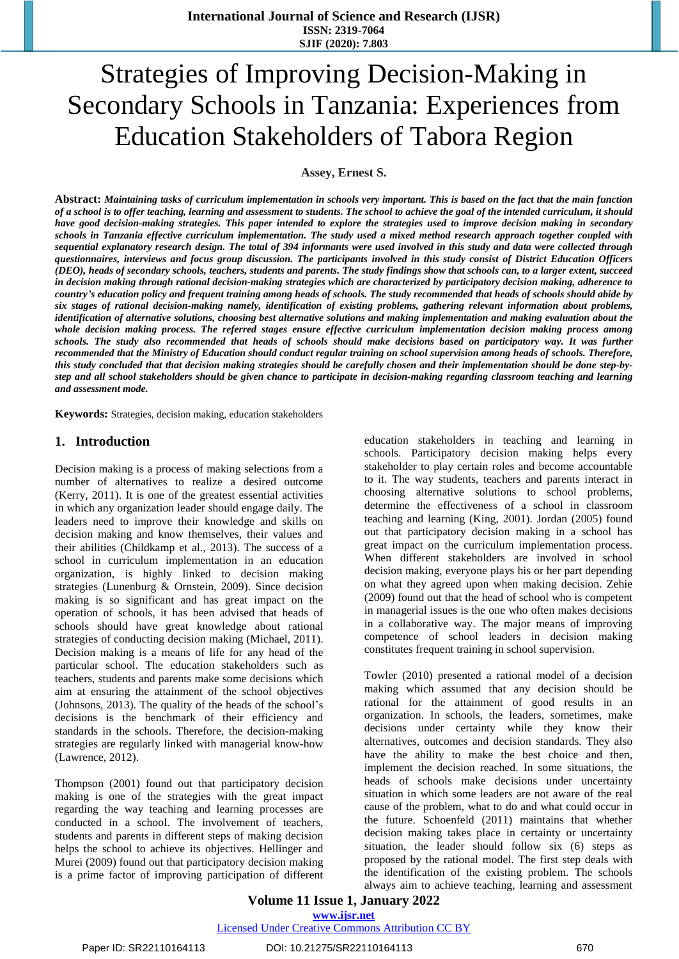# Strategies of Improving Decision-Making in Secondary Schools in Tanzania: Experiences from Education Stakeholders of Tabora Region

**Assey, Ernest S.**

Abstract: Maintaining tasks of curriculum implementation in schools very important. This is based on the fact that the main function of a school is to offer teaching, learning and assessment to students. The school to achieve the goal of the intended curriculum, it should have good decision-making strategies. This paper intended to explore the strategies used to improve decision making in secondary schools in Tanzania effective curriculum implementation. The study used a mixed method research approach together coupled with sequential explanatory research design. The total of 394 informants were used involved in this study and data were collected through questionnaires, interviews and focus group discussion. The participants involved in this study consist of District Education Officers (DEO), heads of secondary schools, teachers, students and parents. The study findings show that schools can, to a larger extent, succeed in decision making through rational decision-making strategies which are characterized by participatory decision making, adherence to country's education policy and frequent training among heads of schools. The study recommended that heads of schools should abide by *six stages of rational decision-making namely, identification of existing problems, gathering relevant information about problems,*  identification of alternative solutions, choosing best alternative solutions and making implementation and making evaluation about the *whole decision making process. The referred stages ensure effective curriculum implementation decision making process among* schools. The study also recommended that heads of schools should make decisions based on participatory way. It was further recommended that the Ministry of Education should conduct regular training on school supervision among heads of schools. Therefore, this study concluded that that decision making strategies should be carefully chosen and their implementation should be done step-bystep and all school stakeholders should be given chance to participate in decision-making regarding classroom teaching and learning *and assessment mode.*

**Keywords:** Strategies, decision making, education stakeholders

# **1. Introduction**

Decision making is a process of making selections from a number of alternatives to realize a desired outcome (Kerry, 2011). It is one of the greatest essential activities in which any organization leader should engage daily. The leaders need to improve their knowledge and skills on decision making and know themselves, their values and their abilities (Childkamp et al., 2013). The success of a school in curriculum implementation in an education organization, is highly linked to decision making strategies (Lunenburg & Ornstein, 2009). Since decision making is so significant and has great impact on the operation of schools, it has been advised that heads of schools should have great knowledge about rational strategies of conducting decision making (Michael, 2011). Decision making is a means of life for any head of the particular school. The education stakeholders such as teachers, students and parents make some decisions which aim at ensuring the attainment of the school objectives (Johnsons, 2013). The quality of the heads of the school's decisions is the benchmark of their efficiency and standards in the schools. Therefore, the decision-making strategies are regularly linked with managerial know-how (Lawrence, 2012).

Thompson (2001) found out that participatory decision making is one of the strategies with the great impact regarding the way teaching and learning processes are conducted in a school. The involvement of teachers, students and parents in different steps of making decision helps the school to achieve its objectives. Hellinger and Murei (2009) found out that participatory decision making is a prime factor of improving participation of different education stakeholders in teaching and learning in schools. Participatory decision making helps every stakeholder to play certain roles and become accountable to it. The way students, teachers and parents interact in choosing alternative solutions to school problems, determine the effectiveness of a school in classroom teaching and learning (King, 2001). Jordan (2005) found out that participatory decision making in a school has great impact on the curriculum implementation process. When different stakeholders are involved in school decision making, everyone plays his or her part depending on what they agreed upon when making decision. Zehie (2009) found out that the head of school who is competent in managerial issues is the one who often makes decisions in a collaborative way. The major means of improving competence of school leaders in decision making constitutes frequent training in school supervision.

Towler (2010) presented a rational model of a decision making which assumed that any decision should be rational for the attainment of good results in an organization. In schools, the leaders, sometimes, make decisions under certainty while they know their alternatives, outcomes and decision standards. They also have the ability to make the best choice and then, implement the decision reached. In some situations, the heads of schools make decisions under uncertainty situation in which some leaders are not aware of the real cause of the problem, what to do and what could occur in the future. Schoenfeld (2011) maintains that whether decision making takes place in certainty or uncertainty situation, the leader should follow six (6) steps as proposed by the rational model. The first step deals with the identification of the existing problem. The schools always aim to achieve teaching, learning and assessment

**Volume 11 Issue 1, January 2022 www.ijsr.net**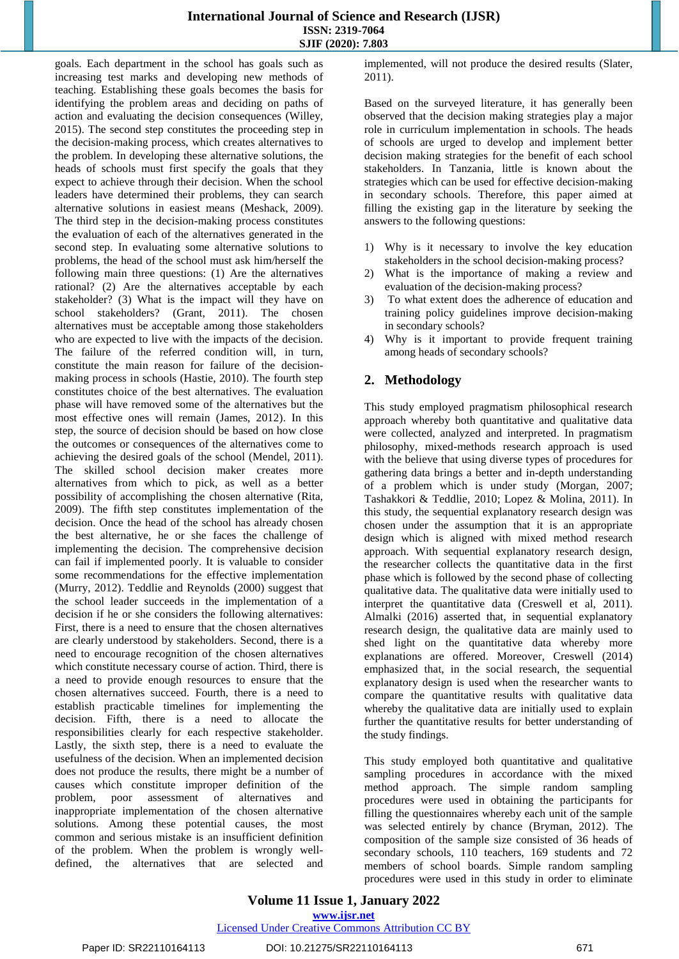## **International Journal of Science and Research (IJSR) ISSN: 2319-7064 SJIF (2020): 7.803**

goals. Each department in the school has goals such as increasing test marks and developing new methods of teaching. Establishing these goals becomes the basis for identifying the problem areas and deciding on paths of action and evaluating the decision consequences (Willey, 2015). The second step constitutes the proceeding step in the decision-making process, which creates alternatives to the problem. In developing these alternative solutions, the heads of schools must first specify the goals that they expect to achieve through their decision. When the school leaders have determined their problems, they can search alternative solutions in easiest means (Meshack, 2009). The third step in the decision-making process constitutes the evaluation of each of the alternatives generated in the second step. In evaluating some alternative solutions to problems, the head of the school must ask him/herself the following main three questions: (1) Are the alternatives rational? (2) Are the alternatives acceptable by each stakeholder? (3) What is the impact will they have on school stakeholders? (Grant, 2011). The chosen alternatives must be acceptable among those stakeholders who are expected to live with the impacts of the decision. The failure of the referred condition will, in turn, constitute the main reason for failure of the decisionmaking process in schools (Hastie, 2010). The fourth step constitutes choice of the best alternatives. The evaluation phase will have removed some of the alternatives but the most effective ones will remain (James, 2012). In this step, the source of decision should be based on how close the outcomes or consequences of the alternatives come to achieving the desired goals of the school (Mendel, 2011). The skilled school decision maker creates more alternatives from which to pick, as well as a better possibility of accomplishing the chosen alternative (Rita, 2009). The fifth step constitutes implementation of the decision. Once the head of the school has already chosen the best alternative, he or she faces the challenge of implementing the decision. The comprehensive decision can fail if implemented poorly. It is valuable to consider some recommendations for the effective implementation (Murry, 2012). Teddlie and Reynolds (2000) suggest that the school leader succeeds in the implementation of a decision if he or she considers the following alternatives: First, there is a need to ensure that the chosen alternatives are clearly understood by stakeholders. Second, there is a need to encourage recognition of the chosen alternatives which constitute necessary course of action. Third, there is a need to provide enough resources to ensure that the chosen alternatives succeed. Fourth, there is a need to establish practicable timelines for implementing the decision. Fifth, there is a need to allocate the responsibilities clearly for each respective stakeholder. Lastly, the sixth step, there is a need to evaluate the usefulness of the decision. When an implemented decision does not produce the results, there might be a number of causes which constitute improper definition of the problem, poor assessment of alternatives and inappropriate implementation of the chosen alternative solutions. Among these potential causes, the most common and serious mistake is an insufficient definition of the problem. When the problem is wrongly welldefined, the alternatives that are selected and

implemented, will not produce the desired results (Slater, 2011).

Based on the surveyed literature, it has generally been observed that the decision making strategies play a major role in curriculum implementation in schools. The heads of schools are urged to develop and implement better decision making strategies for the benefit of each school stakeholders. In Tanzania, little is known about the strategies which can be used for effective decision-making in secondary schools. Therefore, this paper aimed at filling the existing gap in the literature by seeking the answers to the following questions:

- 1) Why is it necessary to involve the key education stakeholders in the school decision-making process?
- 2) What is the importance of making a review and evaluation of the decision-making process?
- 3) To what extent does the adherence of education and training policy guidelines improve decision-making in secondary schools?
- 4) Why is it important to provide frequent training among heads of secondary schools?

# **2. Methodology**

This study employed pragmatism philosophical research approach whereby both quantitative and qualitative data were collected, analyzed and interpreted. In pragmatism philosophy, mixed-methods research approach is used with the believe that using diverse types of procedures for gathering data brings a better and in-depth understanding of a problem which is under study (Morgan, 2007; Tashakkori & Teddlie, 2010; Lopez & Molina, 2011). In this study, the sequential explanatory research design was chosen under the assumption that it is an appropriate design which is aligned with mixed method research approach. With sequential explanatory research design, the researcher collects the quantitative data in the first phase which is followed by the second phase of collecting qualitative data. The qualitative data were initially used to interpret the quantitative data (Creswell et al, 2011). Almalki (2016) asserted that, in sequential explanatory research design, the qualitative data are mainly used to shed light on the quantitative data whereby more explanations are offered. Moreover, Creswell (2014) emphasized that, in the social research, the sequential explanatory design is used when the researcher wants to compare the quantitative results with qualitative data whereby the qualitative data are initially used to explain further the quantitative results for better understanding of the study findings.

This study employed both quantitative and qualitative sampling procedures in accordance with the mixed method approach. The simple random sampling procedures were used in obtaining the participants for filling the questionnaires whereby each unit of the sample was selected entirely by chance (Bryman, 2012). The composition of the sample size consisted of 36 heads of secondary schools, 110 teachers, 169 students and 72 members of school boards. Simple random sampling procedures were used in this study in order to eliminate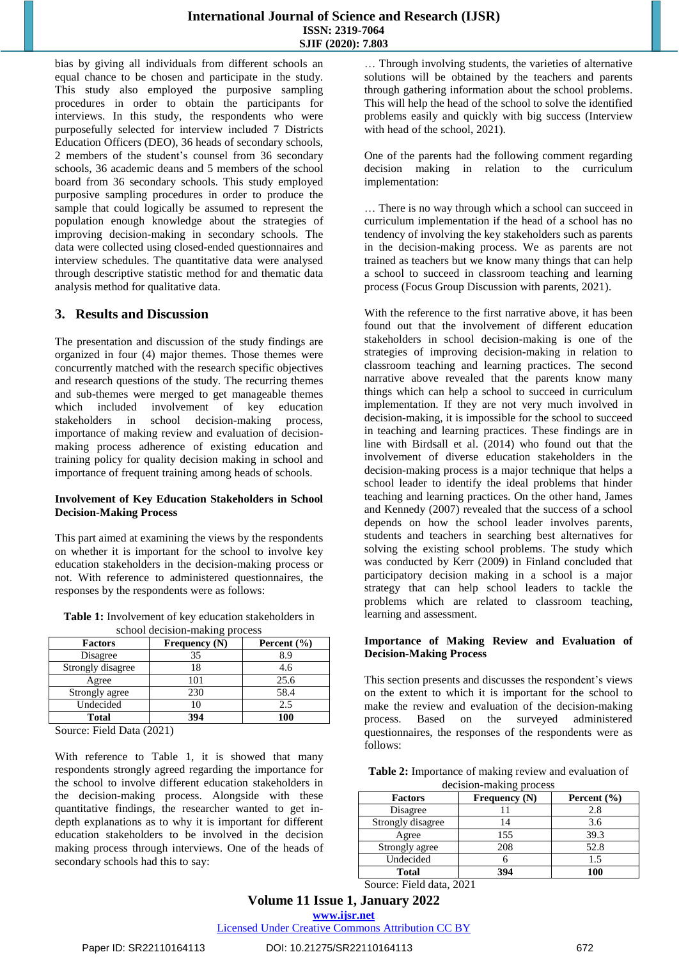bias by giving all individuals from different schools an equal chance to be chosen and participate in the study. This study also employed the purposive sampling procedures in order to obtain the participants for interviews. In this study, the respondents who were purposefully selected for interview included 7 Districts Education Officers (DEO), 36 heads of secondary schools, 2 members of the student's counsel from 36 secondary schools, 36 academic deans and 5 members of the school board from 36 secondary schools. This study employed purposive sampling procedures in order to produce the sample that could logically be assumed to represent the population enough knowledge about the strategies of improving decision-making in secondary schools. The data were collected using closed-ended questionnaires and interview schedules. The quantitative data were analysed through descriptive statistic method for and thematic data analysis method for qualitative data.

# **3. Results and Discussion**

The presentation and discussion of the study findings are organized in four (4) major themes. Those themes were concurrently matched with the research specific objectives and research questions of the study. The recurring themes and sub-themes were merged to get manageable themes which included involvement of key education stakeholders in school decision-making process, importance of making review and evaluation of decisionmaking process adherence of existing education and training policy for quality decision making in school and importance of frequent training among heads of schools.

#### **Involvement of Key Education Stakeholders in School Decision-Making Process**

This part aimed at examining the views by the respondents on whether it is important for the school to involve key education stakeholders in the decision-making process or not. With reference to administered questionnaires, the responses by the respondents were as follows:

| <b>Table 1:</b> Involvement of key education stakeholders in |
|--------------------------------------------------------------|
| school decision-making process                               |

| 01                |                 |                 |  |
|-------------------|-----------------|-----------------|--|
| <b>Factors</b>    | Frequency $(N)$ | Percent $(\% )$ |  |
| Disagree          | 35              | 8.9             |  |
| Strongly disagree | 18              | 4.6             |  |
| Agree             | 101             | 25.6            |  |
| Strongly agree    | 230             | 58.4            |  |
| Undecided         | 10              | 2.5             |  |
| <b>Total</b>      | 394             | 100             |  |

Source: Field Data (2021)

With reference to Table 1, it is showed that many respondents strongly agreed regarding the importance for the school to involve different education stakeholders in the decision-making process. Alongside with these quantitative findings, the researcher wanted to get indepth explanations as to why it is important for different education stakeholders to be involved in the decision making process through interviews. One of the heads of secondary schools had this to say:

… Through involving students, the varieties of alternative solutions will be obtained by the teachers and parents through gathering information about the school problems. This will help the head of the school to solve the identified problems easily and quickly with big success (Interview with head of the school, 2021).

One of the parents had the following comment regarding decision making in relation to the curriculum implementation:

… There is no way through which a school can succeed in curriculum implementation if the head of a school has no tendency of involving the key stakeholders such as parents in the decision-making process. We as parents are not trained as teachers but we know many things that can help a school to succeed in classroom teaching and learning process (Focus Group Discussion with parents, 2021).

With the reference to the first narrative above, it has been found out that the involvement of different education stakeholders in school decision-making is one of the strategies of improving decision-making in relation to classroom teaching and learning practices. The second narrative above revealed that the parents know many things which can help a school to succeed in curriculum implementation. If they are not very much involved in decision-making, it is impossible for the school to succeed in teaching and learning practices. These findings are in line with Birdsall et al. (2014) who found out that the involvement of diverse education stakeholders in the decision-making process is a major technique that helps a school leader to identify the ideal problems that hinder teaching and learning practices. On the other hand, James and Kennedy (2007) revealed that the success of a school depends on how the school leader involves parents, students and teachers in searching best alternatives for solving the existing school problems. The study which was conducted by Kerr (2009) in Finland concluded that participatory decision making in a school is a major strategy that can help school leaders to tackle the problems which are related to classroom teaching, learning and assessment.

#### **Importance of Making Review and Evaluation of Decision-Making Process**

This section presents and discusses the respondent's views on the extent to which it is important for the school to make the review and evaluation of the decision-making process. Based on the surveyed administered questionnaires, the responses of the respondents were as follows:

**Table 2:** Importance of making review and evaluation of decision-making process

| <b>Factors</b>    | Frequency $(N)$ | Percent $(\% )$ |
|-------------------|-----------------|-----------------|
| Disagree          |                 | 2.8             |
| Strongly disagree |                 | 3.6             |
| Agree             | 155             | 39.3            |
| Strongly agree    | 208             | 52.8            |
| Undecided         |                 | 1.5             |
| <b>Total</b>      | 394             | 100             |

Source: Field data, 2021

**www.ijsr.net**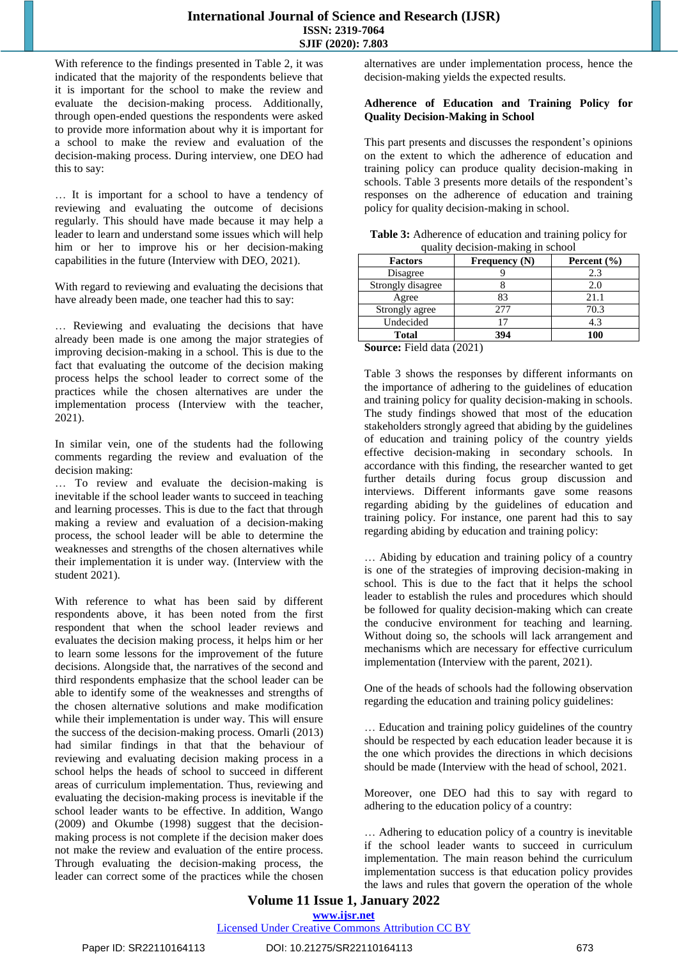With reference to the findings presented in Table 2, it was indicated that the majority of the respondents believe that it is important for the school to make the review and evaluate the decision-making process. Additionally, through open-ended questions the respondents were asked to provide more information about why it is important for a school to make the review and evaluation of the decision-making process. During interview, one DEO had this to say:

… It is important for a school to have a tendency of reviewing and evaluating the outcome of decisions regularly. This should have made because it may help a leader to learn and understand some issues which will help him or her to improve his or her decision-making capabilities in the future (Interview with DEO, 2021).

With regard to reviewing and evaluating the decisions that have already been made, one teacher had this to say:

… Reviewing and evaluating the decisions that have already been made is one among the major strategies of improving decision-making in a school. This is due to the fact that evaluating the outcome of the decision making process helps the school leader to correct some of the practices while the chosen alternatives are under the implementation process (Interview with the teacher, 2021).

In similar vein, one of the students had the following comments regarding the review and evaluation of the decision making:

… To review and evaluate the decision-making is inevitable if the school leader wants to succeed in teaching and learning processes. This is due to the fact that through making a review and evaluation of a decision-making process, the school leader will be able to determine the weaknesses and strengths of the chosen alternatives while their implementation it is under way. (Interview with the student 2021).

With reference to what has been said by different respondents above, it has been noted from the first respondent that when the school leader reviews and evaluates the decision making process, it helps him or her to learn some lessons for the improvement of the future decisions. Alongside that, the narratives of the second and third respondents emphasize that the school leader can be able to identify some of the weaknesses and strengths of the chosen alternative solutions and make modification while their implementation is under way. This will ensure the success of the decision-making process. Omarli (2013) had similar findings in that that the behaviour of reviewing and evaluating decision making process in a school helps the heads of school to succeed in different areas of curriculum implementation. Thus, reviewing and evaluating the decision-making process is inevitable if the school leader wants to be effective. In addition, Wango (2009) and Okumbe (1998) suggest that the decisionmaking process is not complete if the decision maker does not make the review and evaluation of the entire process. Through evaluating the decision-making process, the leader can correct some of the practices while the chosen alternatives are under implementation process, hence the decision-making yields the expected results.

#### **Adherence of Education and Training Policy for Quality Decision-Making in School**

This part presents and discusses the respondent's opinions on the extent to which the adherence of education and training policy can produce quality decision-making in schools. Table 3 presents more details of the respondent's responses on the adherence of education and training policy for quality decision-making in school.

**Table 3:** Adherence of education and training policy for quality decision-making in school

| <u>u uurr</u><br>$\alpha$ |                 |  |  |  |
|---------------------------|-----------------|--|--|--|
| Frequency $(N)$           | Percent $(\% )$ |  |  |  |
|                           | 2.3             |  |  |  |
|                           | 2.0             |  |  |  |
| 83                        | 21.1            |  |  |  |
| 277                       | 70.3            |  |  |  |
|                           | 4.3             |  |  |  |
| 394                       | 100             |  |  |  |
|                           |                 |  |  |  |

**Source:** Field data (2021)

Table 3 shows the responses by different informants on the importance of adhering to the guidelines of education and training policy for quality decision-making in schools. The study findings showed that most of the education stakeholders strongly agreed that abiding by the guidelines of education and training policy of the country yields effective decision-making in secondary schools. In accordance with this finding, the researcher wanted to get further details during focus group discussion and interviews. Different informants gave some reasons regarding abiding by the guidelines of education and training policy. For instance, one parent had this to say regarding abiding by education and training policy:

… Abiding by education and training policy of a country is one of the strategies of improving decision-making in school. This is due to the fact that it helps the school leader to establish the rules and procedures which should be followed for quality decision-making which can create the conducive environment for teaching and learning. Without doing so, the schools will lack arrangement and mechanisms which are necessary for effective curriculum implementation (Interview with the parent, 2021).

One of the heads of schools had the following observation regarding the education and training policy guidelines:

… Education and training policy guidelines of the country should be respected by each education leader because it is the one which provides the directions in which decisions should be made (Interview with the head of school, 2021.

Moreover, one DEO had this to say with regard to adhering to the education policy of a country:

… Adhering to education policy of a country is inevitable if the school leader wants to succeed in curriculum implementation. The main reason behind the curriculum implementation success is that education policy provides the laws and rules that govern the operation of the whole

# **Volume 11 Issue 1, January 2022 www.ijsr.net**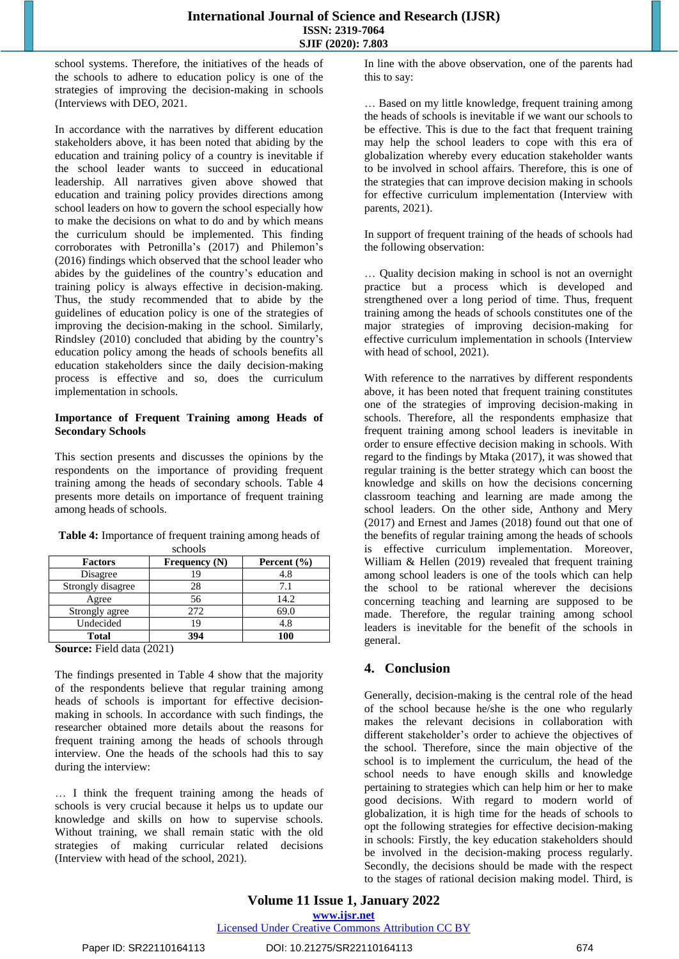school systems. Therefore, the initiatives of the heads of the schools to adhere to education policy is one of the strategies of improving the decision-making in schools (Interviews with DEO, 2021*.* 

In accordance with the narratives by different education stakeholders above, it has been noted that abiding by the education and training policy of a country is inevitable if the school leader wants to succeed in educational leadership. All narratives given above showed that education and training policy provides directions among school leaders on how to govern the school especially how to make the decisions on what to do and by which means the curriculum should be implemented. This finding corroborates with Petronilla's (2017) and Philemon's (2016) findings which observed that the school leader who abides by the guidelines of the country's education and training policy is always effective in decision-making. Thus, the study recommended that to abide by the guidelines of education policy is one of the strategies of improving the decision-making in the school. Similarly, Rindsley (2010) concluded that abiding by the country's education policy among the heads of schools benefits all education stakeholders since the daily decision-making process is effective and so, does the curriculum implementation in schools.

#### **Importance of Frequent Training among Heads of Secondary Schools**

This section presents and discusses the opinions by the respondents on the importance of providing frequent training among the heads of secondary schools. Table 4 presents more details on importance of frequent training among heads of schools.

| SURVUIS           |                      |                 |  |  |
|-------------------|----------------------|-----------------|--|--|
| <b>Factors</b>    | <b>Frequency</b> (N) | Percent $(\% )$ |  |  |
| Disagree          |                      | 4.8             |  |  |
| Strongly disagree | 28                   | 7.1             |  |  |
| Agree             | 56                   | 14.2            |  |  |
| Strongly agree    | 272                  | 69.0            |  |  |
| Undecided         | 19                   | 4.8             |  |  |
| <b>Total</b>      | 394                  | 100             |  |  |

**Table 4:** Importance of frequent training among heads of schools

**Source:** Field data (2021)

The findings presented in Table 4 show that the majority of the respondents believe that regular training among heads of schools is important for effective decisionmaking in schools. In accordance with such findings, the researcher obtained more details about the reasons for frequent training among the heads of schools through interview. One the heads of the schools had this to say during the interview:

… I think the frequent training among the heads of schools is very crucial because it helps us to update our knowledge and skills on how to supervise schools. Without training, we shall remain static with the old strategies of making curricular related decisions (Interview with head of the school, 2021).

In line with the above observation, one of the parents had this to say:

… Based on my little knowledge, frequent training among the heads of schools is inevitable if we want our schools to be effective. This is due to the fact that frequent training may help the school leaders to cope with this era of globalization whereby every education stakeholder wants to be involved in school affairs. Therefore, this is one of the strategies that can improve decision making in schools for effective curriculum implementation (Interview with parents, 2021).

In support of frequent training of the heads of schools had the following observation:

… Quality decision making in school is not an overnight practice but a process which is developed and strengthened over a long period of time. Thus, frequent training among the heads of schools constitutes one of the major strategies of improving decision-making for effective curriculum implementation in schools (Interview with head of school, 2021).

With reference to the narratives by different respondents above, it has been noted that frequent training constitutes one of the strategies of improving decision-making in schools. Therefore, all the respondents emphasize that frequent training among school leaders is inevitable in order to ensure effective decision making in schools. With regard to the findings by Mtaka (2017), it was showed that regular training is the better strategy which can boost the knowledge and skills on how the decisions concerning classroom teaching and learning are made among the school leaders. On the other side, Anthony and Mery (2017) and Ernest and James (2018) found out that one of the benefits of regular training among the heads of schools is effective curriculum implementation. Moreover, William & Hellen (2019) revealed that frequent training among school leaders is one of the tools which can help the school to be rational wherever the decisions concerning teaching and learning are supposed to be made. Therefore, the regular training among school leaders is inevitable for the benefit of the schools in general.

# **4. Conclusion**

Generally, decision-making is the central role of the head of the school because he/she is the one who regularly makes the relevant decisions in collaboration with different stakeholder's order to achieve the objectives of the school. Therefore, since the main objective of the school is to implement the curriculum, the head of the school needs to have enough skills and knowledge pertaining to strategies which can help him or her to make good decisions. With regard to modern world of globalization, it is high time for the heads of schools to opt the following strategies for effective decision-making in schools: Firstly, the key education stakeholders should be involved in the decision-making process regularly. Secondly, the decisions should be made with the respect to the stages of rational decision making model. Third, is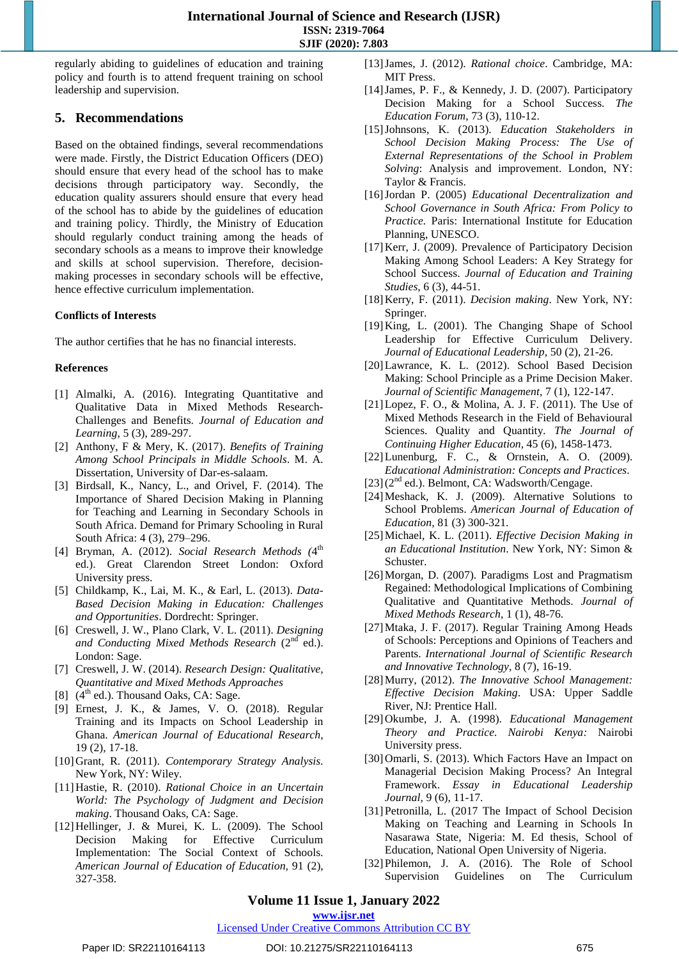regularly abiding to guidelines of education and training policy and fourth is to attend frequent training on school leadership and supervision.

# **5. Recommendations**

Based on the obtained findings, several recommendations were made. Firstly, the District Education Officers (DEO) should ensure that every head of the school has to make decisions through participatory way. Secondly, the education quality assurers should ensure that every head of the school has to abide by the guidelines of education and training policy. Thirdly, the Ministry of Education should regularly conduct training among the heads of secondary schools as a means to improve their knowledge and skills at school supervision. Therefore, decisionmaking processes in secondary schools will be effective, hence effective curriculum implementation.

# **Conflicts of Interests**

The author certifies that he has no financial interests.

### **References**

- [1] Almalki, A. (2016). Integrating Quantitative and Qualitative Data in Mixed Methods Research-Challenges and Benefits. *Journal of Education and Learning*, 5 (3), 289-297.
- [2] Anthony, F & Mery, K. (2017). *Benefits of Training Among School Principals in Middle Schools*. M. A. Dissertation, University of Dar-es-salaam.
- [3] Birdsall, K., Nancy, L., and Orivel, F. (2014). The Importance of Shared Decision Making in Planning for Teaching and Learning in Secondary Schools in South Africa. Demand for Primary Schooling in Rural South Africa: 4 (3), 279–296.
- [4] Bryman, A. (2012). *Social Research Methods (*4 th ed.). Great Clarendon Street London: Oxford University press.
- [5] Childkamp, K., Lai, M. K., & Earl, L. (2013). *Data-Based Decision Making in Education: Challenges and Opportunities*. Dordrecht: Springer.
- [6] Creswell, J. W., Plano Clark, V. L. (2011). *Designing* and Conducting Mixed Methods Research (2<sup>nd</sup> ed.). London: Sage.
- [7] Creswell, J. W. (2014). *Research Design: Qualitative, Quantitative and Mixed Methods Approaches*
- [8]  $(4<sup>th</sup>$  ed.). Thousand Oaks, CA: Sage.
- [9] Ernest, J. K., & James, V. O. (2018). Regular Training and its Impacts on School Leadership in Ghana. *American Journal of Educational Research*, 19 (2), 17-18.
- [10]Grant, R. (2011). *Contemporary Strategy Analysis*. New York, NY: Wiley.
- [11]Hastie, R. (2010). *Rational Choice in an Uncertain World: The Psychology of Judgment and Decision making*. Thousand Oaks, CA: Sage.
- [12] Hellinger, J. & Murei, K. L. (2009). The School Decision Making for Effective Curriculum Implementation: The Social Context of Schools. *American Journal of Education of Education,* 91 (2), 327-358.
- [13]James, J. (2012). *Rational choice*. Cambridge, MA: MIT Press.
- [14] James, P. F., & Kennedy, J. D. (2007). Participatory Decision Making for a School Success. *The Education Forum*, 73 (3), 110-12.
- [15]Johnsons, K. (2013). *Education Stakeholders in School Decision Making Process: The Use of External Representations of the School in Problem Solving*: Analysis and improvement. London, NY: Taylor & Francis.
- [16]Jordan P. (2005) *Educational Decentralization and School Governance in South Africa: From Policy to Practice.* Paris: International Institute for Education Planning, UNESCO.
- [17] Kerr, J. (2009). Prevalence of Participatory Decision Making Among School Leaders: A Key Strategy for School Success. *Journal of Education and Training Studies*, 6 (3), 44-51.
- [18]Kerry, F. (2011). *Decision making*. New York, NY: Springer.
- [19]King, L. (2001). The Changing Shape of School Leadership for Effective Curriculum Delivery. *Journal of Educational Leadership*, 50 (2), 21-26.
- [20]Lawrance, K. L. (2012). School Based Decision Making: School Principle as a Prime Decision Maker. *Journal of Scientific Management,* 7 (1), 122-147.
- [21]Lopez, F. O., & Molina, A. J. F. (2011). The Use of Mixed Methods Research in the Field of Behavioural Sciences. Quality and Quantity*. The Journal of Continuing Higher Education,* 45 (6), 1458-1473.
- [22] Lunenburg, F. C., & Ornstein, A. O. (2009). *Educational Administration: Concepts and Practices*.
- [23](2<sup>nd</sup> ed.). Belmont, CA: Wadsworth/Cengage.
- [24]Meshack, K. J. (2009). Alternative Solutions to School Problems. *American Journal of Education of Education,* 81 (3) 300-321.
- [25]Michael, K. L. (2011). *Effective Decision Making in an Educational Institution*. New York, NY: Simon & Schuster.
- [26]Morgan, D. (2007). Paradigms Lost and Pragmatism Regained: Methodological Implications of Combining Qualitative and Quantitative Methods. *Journal of Mixed Methods Research*, 1 (1), 48-76.
- [27]Mtaka, J. F. (2017). Regular Training Among Heads of Schools: Perceptions and Opinions of Teachers and Parents. *International Journal of Scientific Research and Innovative Technology,* 8 (7), 16-19.
- [28]Murry, (2012). *The Innovative School Management: Effective Decision Making*. USA: Upper Saddle River, NJ: Prentice Hall.
- [29]Okumbe, J. A. (1998). *Educational Management Theory and Practice. Nairobi Kenya:* Nairobi University press.
- [30]Omarli, S. (2013). Which Factors Have an Impact on Managerial Decision Making Process? An Integral Framework. *Essay in Educational Leadership Journal,* 9 (6), 11-17.
- [31]Petronilla, L. (2017 The Impact of School Decision Making on Teaching and Learning in Schools In Nasarawa State, Nigeria: M. Ed thesis, School of Education, National Open University of Nigeria.
- [32]Philemon, J. A. (2016). The Role of School Supervision Guidelines on The Curriculum

**Volume 11 Issue 1, January 2022**

**www.ijsr.net**